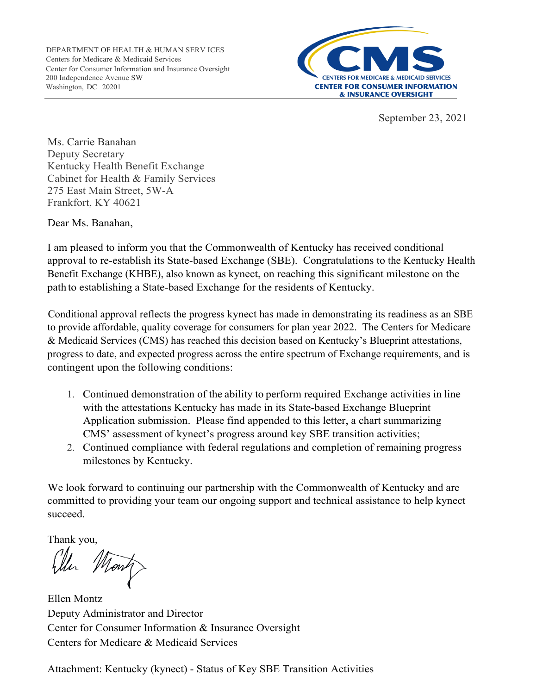

September 23, 2021

Ms. Carrie Banahan Deputy Secretary Kentucky Health Benefit Exchange Cabinet for Health & Family Services 275 East Main Street, 5W-A Frankfort, KY 40621

Dear Ms. Banahan,

I am pleased to inform you that the Commonwealth of Kentucky has received conditional approval to re-establish its State-based Exchange (SBE). Congratulations to the Kentucky Health Benefit Exchange (KHBE), also known as kynect, on reaching this significant milestone on the path to establishing a State-based Exchange for the residents of Kentucky.

Conditional approval reflects the progress kynect has made in demonstrating its readiness as an SBE to provide affordable, quality coverage for consumers for plan year 2022. The Centers for Medicare & Medicaid Services (CMS) has reached this decision based on Kentucky's Blueprint attestations, progress to date, and expected progress across the entire spectrum of Exchange requirements, and is contingent upon the following conditions:

- 1. Continued demonstration of the ability to perform required Exchange activities in line with the attestations Kentucky has made in its State-based Exchange Blueprint Application submission. Please find appended to this letter, a chart summarizing CMS' assessment of kynect's progress around key SBE transition activities;
- 2. Continued compliance with federal regulations and completion of remaining progress milestones by Kentucky.

We look forward to continuing our partnership with the Commonwealth of Kentucky and are committed to providing your team our ongoing support and technical assistance to help kynect succeed.

Thank you,

<sup>1</sup>on

Ellen Montz Deputy Administrator and Director Center for Consumer Information & Insurance Oversight Centers for Medicare & Medicaid Services

Attachment: Kentucky (kynect) - Status of Key SBE Transition Activities